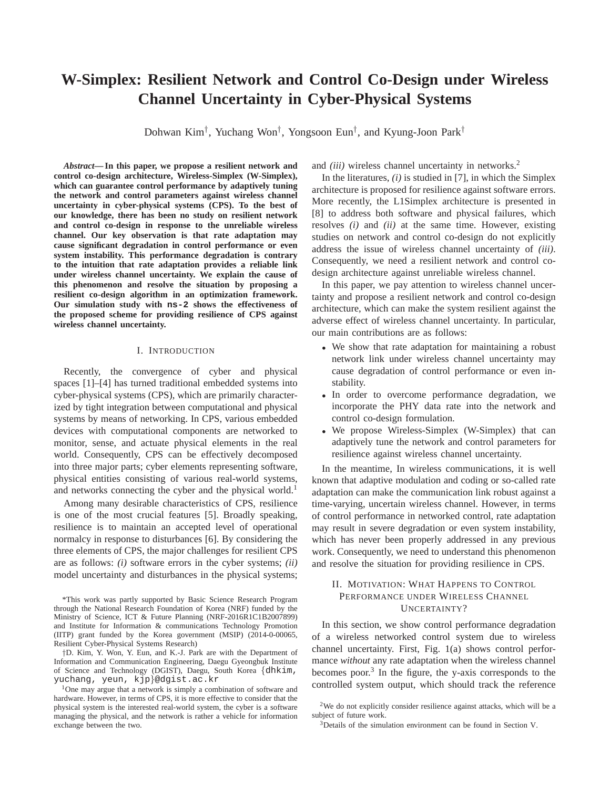# **W-Simplex: Resilient Network and Control Co-Design under Wireless Channel Uncertainty in Cyber-Physical Systems**

Dohwan Kim† , Yuchang Won† , Yongsoon Eun† , and Kyung-Joon Park†

*Abstract***— In this paper, we propose a resilient network and control co-design architecture, Wireless-Simplex (W-Simplex), which can guarantee control performance by adaptively tuning the network and control parameters against wireless channel uncertainty in cyber-physical systems (CPS). To the best of our knowledge, there has been no study on resilient network and control co-design in response to the unreliable wireless channel. Our key observation is that rate adaptation may cause significant degradation in control performance or even system instability. This performance degradation is contrary to the intuition that rate adaptation provides a reliable link under wireless channel uncertainty. We explain the cause of this phenomenon and resolve the situation by proposing a resilient co-design algorithm in an optimization framework. Our simulation study with ns-2 shows the effectiveness of the proposed scheme for providing resilience of CPS against wireless channel uncertainty.**

## I. INTRODUCTION

Recently, the convergence of cyber and physical spaces [1]–[4] has turned traditional embedded systems into cyber-physical systems (CPS), which are primarily characterized by tight integration between computational and physical systems by means of networking. In CPS, various embedded devices with computational components are networked to monitor, sense, and actuate physical elements in the real world. Consequently, CPS can be effectively decomposed into three major parts; cyber elements representing software, physical entities consisting of various real-world systems, and networks connecting the cyber and the physical world.<sup>1</sup>

Among many desirable characteristics of CPS, resilience is one of the most crucial features [5]. Broadly speaking, resilience is to maintain an accepted level of operational normalcy in response to disturbances [6]. By considering the three elements of CPS, the major challenges for resilient CPS are as follows: *(i)* software errors in the cyber systems; *(ii)* model uncertainty and disturbances in the physical systems;

\*This work was partly supported by Basic Science Research Program through the National Research Foundation of Korea (NRF) funded by the Ministry of Science, ICT & Future Planning (NRF-2016R1C1B2007899) and Institute for Information & communications Technology Promotion (IITP) grant funded by the Korea government (MSIP) (2014-0-00065, Resilient Cyber-Physical Systems Research)

†D. Kim, Y. Won, Y. Eun, and K.-J. Park are with the Department of Information and Communication Engineering, Daegu Gyeongbuk Institute of Science and Technology (DGIST), Daegu, South Korea {dhkim, yuchang, yeun, kjp}@dgist.ac.kr

<sup>1</sup>One may argue that a network is simply a combination of software and hardware. However, in terms of CPS, it is more effective to consider that the physical system is the interested real-world system, the cyber is a software managing the physical, and the network is rather a vehicle for information exchange between the two.

and *(iii)* wireless channel uncertainty in networks.<sup>2</sup>

In the literatures, *(i)* is studied in [7], in which the Simplex architecture is proposed for resilience against software errors. More recently, the L1Simplex architecture is presented in [8] to address both software and physical failures, which resolves *(i)* and *(ii)* at the same time. However, existing studies on network and control co-design do not explicitly address the issue of wireless channel uncertainty of *(iii)*. Consequently, we need a resilient network and control codesign architecture against unreliable wireless channel.

In this paper, we pay attention to wireless channel uncertainty and propose a resilient network and control co-design architecture, which can make the system resilient against the adverse effect of wireless channel uncertainty. In particular, our main contributions are as follows:

- We show that rate adaptation for maintaining a robust network link under wireless channel uncertainty may cause degradation of control performance or even instability.
- In order to overcome performance degradation, we incorporate the PHY data rate into the network and control co-design formulation.
- We propose Wireless-Simplex (W-Simplex) that can adaptively tune the network and control parameters for resilience against wireless channel uncertainty.

In the meantime, In wireless communications, it is well known that adaptive modulation and coding or so-called rate adaptation can make the communication link robust against a time-varying, uncertain wireless channel. However, in terms of control performance in networked control, rate adaptation may result in severe degradation or even system instability, which has never been properly addressed in any previous work. Consequently, we need to understand this phenomenon and resolve the situation for providing resilience in CPS.

# II. MOTIVATION: WHAT HAPPENS TO CONTROL PERFORMANCE UNDER WIRELESS CHANNEL UNCERTAINTY?

In this section, we show control performance degradation of a wireless networked control system due to wireless channel uncertainty. First, Fig. 1(a) shows control performance *without* any rate adaptation when the wireless channel becomes poor.<sup>3</sup> In the figure, the y-axis corresponds to the controlled system output, which should track the reference

<sup>2</sup>We do not explicitly consider resilience against attacks, which will be a subject of future work.

<sup>&</sup>lt;sup>3</sup>Details of the simulation environment can be found in Section V.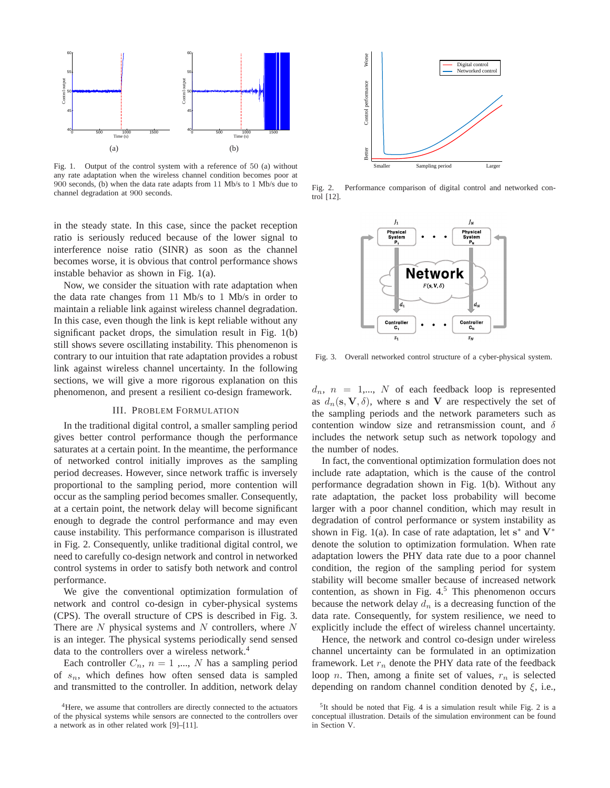

Fig. 1. Output of the control system with a reference of 50 (a) without any rate adaptation when the wireless channel condition becomes poor at 900 seconds, (b) when the data rate adapts from 11 Mb/s to 1 Mb/s due to channel degradation at 900 seconds.

in the steady state. In this case, since the packet reception ratio is seriously reduced because of the lower signal to interference noise ratio (SINR) as soon as the channel becomes worse, it is obvious that control performance shows instable behavior as shown in Fig. 1(a).

Now, we consider the situation with rate adaptation when the data rate changes from 11 Mb/s to 1 Mb/s in order to maintain a reliable link against wireless channel degradation. In this case, even though the link is kept reliable without any significant packet drops, the simulation result in Fig. 1(b) still shows severe oscillating instability. This phenomenon is contrary to our intuition that rate adaptation provides a robust link against wireless channel uncertainty. In the following sections, we will give a more rigorous explanation on this phenomenon, and present a resilient co-design framework.

# III. PROBLEM FORMULATION

In the traditional digital control, a smaller sampling period gives better control performance though the performance saturates at a certain point. In the meantime, the performance of networked control initially improves as the sampling period decreases. However, since network traffic is inversely proportional to the sampling period, more contention will occur as the sampling period becomes smaller. Consequently, at a certain point, the network delay will become significant enough to degrade the control performance and may even cause instability. This performance comparison is illustrated in Fig. 2. Consequently, unlike traditional digital control, we need to carefully co-design network and control in networked control systems in order to satisfy both network and control performance.

We give the conventional optimization formulation of network and control co-design in cyber-physical systems (CPS). The overall structure of CPS is described in Fig. 3. There are  $N$  physical systems and  $N$  controllers, where  $N$ is an integer. The physical systems periodically send sensed data to the controllers over a wireless network.<sup>4</sup>

Each controller  $C_n$ ,  $n = 1$ ,..., N has a sampling period of  $s_n$ , which defines how often sensed data is sampled and transmitted to the controller. In addition, network delay



Fig. 2. Performance comparison of digital control and networked control [12].



Fig. 3. Overall networked control structure of a cyber-physical system.

 $d_n$ ,  $n = 1,..., N$  of each feedback loop is represented as  $d_n(s, V, \delta)$ , where s and V are respectively the set of the sampling periods and the network parameters such as contention window size and retransmission count, and  $\delta$ includes the network setup such as network topology and the number of nodes.

In fact, the conventional optimization formulation does not include rate adaptation, which is the cause of the control performance degradation shown in Fig. 1(b). Without any rate adaptation, the packet loss probability will become larger with a poor channel condition, which may result in degradation of control performance or system instability as shown in Fig. 1(a). In case of rate adaptation, let  $s^*$  and  $V^*$ denote the solution to optimization formulation. When rate adaptation lowers the PHY data rate due to a poor channel condition, the region of the sampling period for system stability will become smaller because of increased network contention, as shown in Fig.  $4<sup>5</sup>$  This phenomenon occurs because the network delay  $d_n$  is a decreasing function of the data rate. Consequently, for system resilience, we need to explicitly include the effect of wireless channel uncertainty.

Hence, the network and control co-design under wireless channel uncertainty can be formulated in an optimization framework. Let  $r_n$  denote the PHY data rate of the feedback loop *n*. Then, among a finite set of values,  $r_n$  is selected depending on random channel condition denoted by  $\xi$ , i.e.,

<sup>&</sup>lt;sup>4</sup>Here, we assume that controllers are directly connected to the actuators of the physical systems while sensors are connected to the controllers over a network as in other related work [9]–[11].

 $5$ It should be noted that Fig. 4 is a simulation result while Fig. 2 is a conceptual illustration. Details of the simulation environment can be found in Section V.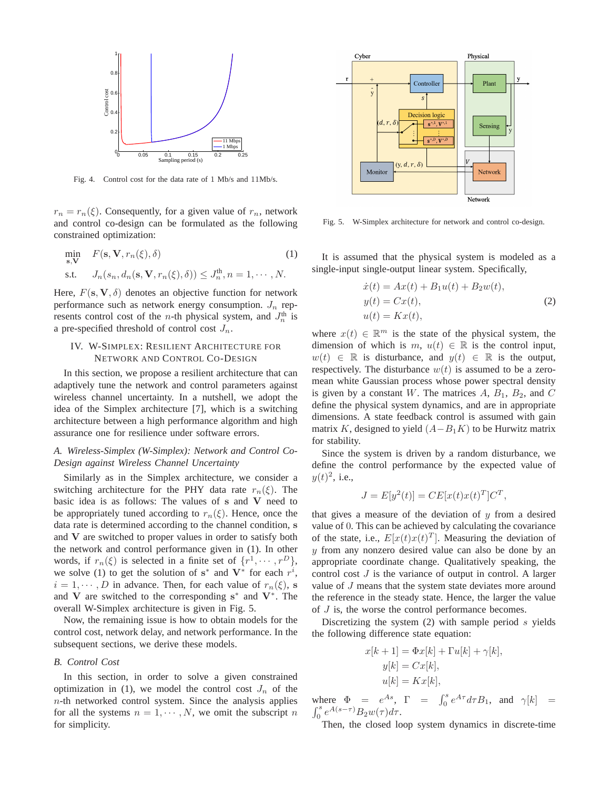

Fig. 4. Control cost for the data rate of 1 Mb/s and 11Mb/s.

 $r_n = r_n(\xi)$ . Consequently, for a given value of  $r_n$ , network and control co-design can be formulated as the following constrained optimization:

$$
\min_{\mathbf{s}, \mathbf{V}} \quad F(\mathbf{s}, \mathbf{V}, r_n(\xi), \delta) \tag{1}
$$
\n
$$
\text{s.t.} \quad J_n(s_n, d_n(\mathbf{s}, \mathbf{V}, r_n(\xi), \delta)) \le J_n^{\text{th}}, n = 1, \cdots, N.
$$

Here,  $F(\mathbf{s}, \mathbf{V}, \delta)$  denotes an objective function for network performance such as network energy consumption.  $J_n$  represents control cost of the *n*-th physical system, and  $J_n^{\text{th}}$  is a pre-specified threshold of control cost  $J_n$ .

# IV. W-SIMPLEX: RESILIENT ARCHITECTURE FOR NETWORK AND CONTROL CO-DESIGN

In this section, we propose a resilient architecture that can adaptively tune the network and control parameters against wireless channel uncertainty. In a nutshell, we adopt the idea of the Simplex architecture [7], which is a switching architecture between a high performance algorithm and high assurance one for resilience under software errors.

# *A. Wireless-Simplex (W-Simplex): Network and Control Co-Design against Wireless Channel Uncertainty*

Similarly as in the Simplex architecture, we consider a switching architecture for the PHY data rate  $r_n(\xi)$ . The basic idea is as follows: The values of s and V need to be appropriately tuned according to  $r_n(\xi)$ . Hence, once the data rate is determined according to the channel condition, s and V are switched to proper values in order to satisfy both the network and control performance given in (1). In other words, if  $r_n(\xi)$  is selected in a finite set of  $\{r^1, \dots, r^D\}$ , we solve (1) to get the solution of  $s^*$  and  $V^*$  for each  $r^i$ ,  $i = 1, \dots, D$  in advance. Then, for each value of  $r_n(\xi)$ , s and V are switched to the corresponding  $s^*$  and  $V^*$ . The overall W-Simplex architecture is given in Fig. 5.

Now, the remaining issue is how to obtain models for the control cost, network delay, and network performance. In the subsequent sections, we derive these models.

## *B. Control Cost*

In this section, in order to solve a given constrained optimization in (1), we model the control cost  $J_n$  of the  $n$ -th networked control system. Since the analysis applies for all the systems  $n = 1, \dots, N$ , we omit the subscript n for simplicity.



Fig. 5. W-Simplex architecture for network and control co-design.

It is assumed that the physical system is modeled as a single-input single-output linear system. Specifically,

$$
\begin{aligned}\n\dot{x}(t) &= Ax(t) + B_1 u(t) + B_2 w(t), \\
y(t) &= Cx(t), \\
u(t) &= Kx(t),\n\end{aligned} \tag{2}
$$

where  $x(t) \in \mathbb{R}^m$  is the state of the physical system, the dimension of which is  $m, u(t) \in \mathbb{R}$  is the control input,  $w(t) \in \mathbb{R}$  is disturbance, and  $y(t) \in \mathbb{R}$  is the output, respectively. The disturbance  $w(t)$  is assumed to be a zeromean white Gaussian process whose power spectral density is given by a constant W. The matrices  $A, B_1, B_2$ , and C define the physical system dynamics, and are in appropriate dimensions. A state feedback control is assumed with gain matrix K, designed to yield  $(A-B<sub>1</sub>K)$  to be Hurwitz matrix for stability.

Since the system is driven by a random disturbance, we define the control performance by the expected value of  $y(t)^2$ , i.e.,

$$
J = E[y2(t)] = CE[x(t)x(t)T]CT,
$$

that gives a measure of the deviation of  $y$  from a desired value of 0. This can be achieved by calculating the covariance of the state, i.e.,  $E[x(t)x(t)^T]$ . Measuring the deviation of y from any nonzero desired value can also be done by an appropriate coordinate change. Qualitatively speaking, the control cost  $J$  is the variance of output in control. A larger value of J means that the system state deviates more around the reference in the steady state. Hence, the larger the value of J is, the worse the control performance becomes.

Discretizing the system  $(2)$  with sample period s yields the following difference state equation:

$$
x[k+1] = \Phi x[k] + \Gamma u[k] + \gamma[k],
$$
  
\n
$$
y[k] = Cx[k],
$$
  
\n
$$
u[k] = Kx[k],
$$

where  $\Phi = e^{As}$ ,  $\Gamma = \int_0^s e^{A\tau} d\tau B_1$ , and  $\gamma[k] =$  $\int_0^s e^{A(s-\tau)} B_2 w(\tau) d\tau.$ 

Then, the closed loop system dynamics in discrete-time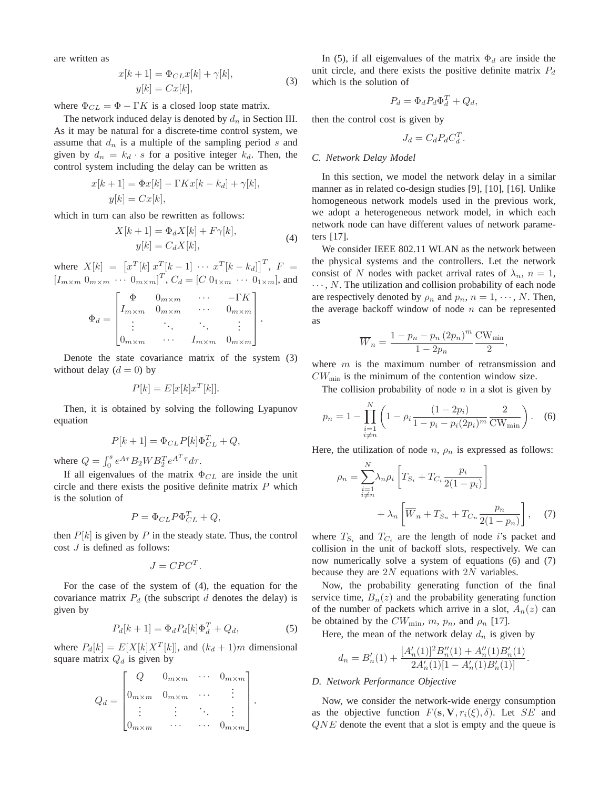are written as

$$
x[k+1] = \Phi_{CL}x[k] + \gamma[k],
$$
  
\n
$$
y[k] = Cx[k],
$$
\n(3)

where  $\Phi_{CL} = \Phi - \Gamma K$  is a closed loop state matrix.

The network induced delay is denoted by  $d_n$  in Section III. As it may be natural for a discrete-time control system, we assume that  $d_n$  is a multiple of the sampling period s and given by  $d_n = k_d \cdot s$  for a positive integer  $k_d$ . Then, the control system including the delay can be written as

$$
x[k+1] = \Phi x[k] - \Gamma K x[k - k_d] + \gamma[k],
$$
  

$$
y[k] = C x[k],
$$

which in turn can also be rewritten as follows:

$$
X[k+1] = \Phi_d X[k] + F\gamma[k],
$$
  
\n
$$
y[k] = C_d X[k],
$$
\n(4)

where  $X[k] = [x^T[k] \ x^T[k-1] \ \cdots \ x^T[k-k_d]]^T$ ,  $F =$  $[I_{m \times m} 0_{m \times m} \cdots 0_{m \times m}]^T$ ,  $C_d = [C 0_{1 \times m} \cdots 0_{1 \times m}]$ , and

$$
\Phi_d = \begin{bmatrix}\n\Phi & 0_{m \times m} & \cdots & -\Gamma K \\
I_{m \times m} & 0_{m \times m} & \cdots & 0_{m \times m} \\
\vdots & \ddots & \ddots & \vdots \\
0_{m \times m} & \cdots & I_{m \times m} & 0_{m \times m}\n\end{bmatrix}.
$$

Denote the state covariance matrix of the system (3) without delay  $(d = 0)$  by

$$
P[k] = E[x[k]x^T[k]].
$$

Then, it is obtained by solving the following Lyapunov equation

$$
P[k+1] = \Phi_{CL} P[k] \Phi_{CL}^T + Q,
$$

where  $Q = \int_0^s e^{A\tau} B_2 W B_2^T e^{A^T \tau} d\tau$ .

If all eigenvalues of the matrix  $\Phi_{CL}$  are inside the unit circle and there exists the positive definite matrix  $P$  which is the solution of

$$
P = \Phi_{CL} P \Phi_{CL}^T + Q,
$$

then  $P[k]$  is given by P in the steady state. Thus, the control cost  $J$  is defined as follows:

$$
J = C P C^T.
$$

For the case of the system of (4), the equation for the covariance matrix  $P_d$  (the subscript d denotes the delay) is given by

$$
P_d[k+1] = \Phi_d P_d[k] \Phi_d^T + Q_d, \qquad (5)
$$

where  $P_d[k] = E[X[k]X^T[k]]$ , and  $(k_d + 1)m$  dimensional square matrix  $Q_d$  is given by

$$
Q_d = \begin{bmatrix} Q & 0_{m \times m} & \cdots & 0_{m \times m} \\ 0_{m \times m} & 0_{m \times m} & \cdots & \vdots \\ \vdots & \vdots & \ddots & \vdots \\ 0_{m \times m} & \cdots & \cdots & 0_{m \times m} \end{bmatrix}.
$$

In (5), if all eigenvalues of the matrix  $\Phi_d$  are inside the unit circle, and there exists the positive definite matrix  $P_d$ which is the solution of

$$
P_d = \Phi_d P_d \Phi_d^T + Q_d,
$$

then the control cost is given by

$$
J_d = C_d P_d C_d^T.
$$

## *C. Network Delay Model*

In this section, we model the network delay in a similar manner as in related co-design studies [9], [10], [16]. Unlike homogeneous network models used in the previous work, we adopt a heterogeneous network model, in which each network node can have different values of network parameters [17].

We consider IEEE 802.11 WLAN as the network between the physical systems and the controllers. Let the network consist of N nodes with packet arrival rates of  $\lambda_n$ ,  $n = 1$ ,  $\cdots$ , N. The utilization and collision probability of each node are respectively denoted by  $\rho_n$  and  $p_n$ ,  $n = 1, \dots, N$ . Then, the average backoff window of node  $n$  can be represented as

$$
\overline{W}_n = \frac{1 - p_n - p_n (2p_n)^m \text{CW}_{\text{min}}}{1 - 2p_n},
$$

where  $m$  is the maximum number of retransmission and  $CW_{\text{min}}$  is the minimum of the contention window size.

The collision probability of node  $n$  in a slot is given by

$$
p_n = 1 - \prod_{\substack{i=1 \ i \neq n}}^N \left( 1 - \rho_i \frac{(1 - 2p_i)}{1 - p_i - p_i (2p_i)^m} \frac{2}{\text{CW}_{\text{min}}} \right). \tag{6}
$$

Here, the utilization of node  $n$ ,  $\rho_n$  is expressed as follows:

$$
\rho_n = \sum_{\substack{i=1 \ i \neq n}}^N \lambda_n \rho_i \left[ T_{S_i} + T_{C_i} \frac{p_i}{2(1 - p_i)} \right] + \lambda_n \left[ \overline{W}_n + T_{S_n} + T_{C_n} \frac{p_n}{2(1 - p_n)} \right], \quad (7)
$$

where  $T_{S_i}$  and  $T_{C_i}$  are the length of node i's packet and collision in the unit of backoff slots, respectively. We can now numerically solve a system of equations (6) and (7) because they are 2N equations with 2N variables.

Now, the probability generating function of the final service time,  $B_n(z)$  and the probability generating function of the number of packets which arrive in a slot,  $A_n(z)$  can be obtained by the  $CW_{\min}$ ,  $m$ ,  $p_n$ , and  $\rho_n$  [17].

Here, the mean of the network delay  $d_n$  is given by

$$
d_n = B'_n(1) + \frac{[A'_n(1)]^2 B''_n(1) + A''_n(1) B'_n(1)}{2A'_n(1)[1 - A'_n(1) B'_n(1)]}.
$$

#### *D. Network Performance Objective*

Now, we consider the network-wide energy consumption as the objective function  $F(\mathbf{s}, \mathbf{V}, r_i(\xi), \delta)$ . Let SE and QNE denote the event that a slot is empty and the queue is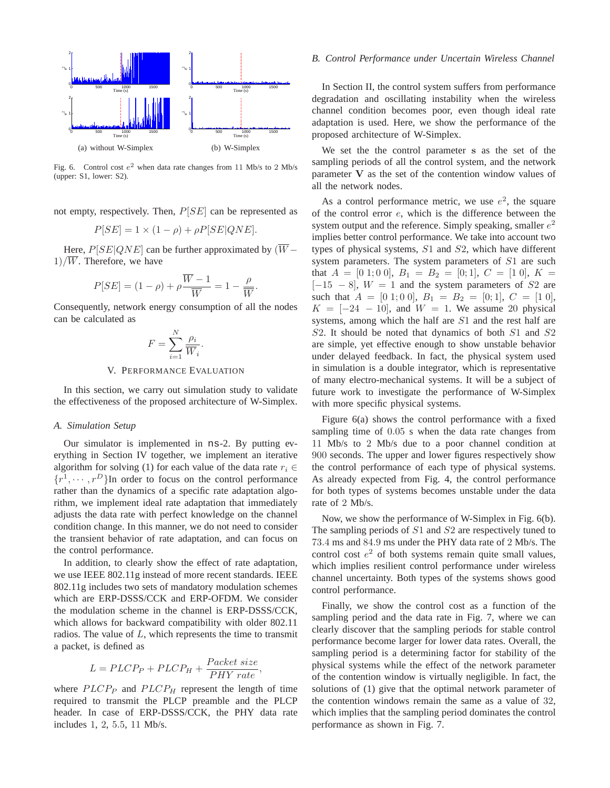

Fig. 6. Control cost  $e^2$  when data rate changes from 11 Mb/s to 2 Mb/s (upper: S1, lower: S2).

not empty, respectively. Then,  $P[SE]$  can be represented as

$$
P[SE] = 1 \times (1 - \rho) + \rho P[SE|QNE].
$$

Here,  $P[SE|QNE]$  can be further approximated by  $(W 1)/\overline{W}$ . Therefore, we have

$$
P[SE] = (1 - \rho) + \rho \frac{\overline{W} - 1}{\overline{W}} = 1 - \frac{\rho}{\overline{W}}.
$$

Consequently, network energy consumption of all the nodes can be calculated as

$$
F = \sum_{i=1}^{N} \frac{\rho_i}{\overline{W}_i}.
$$

### V. PERFORMANCE EVALUATION

In this section, we carry out simulation study to validate the effectiveness of the proposed architecture of W-Simplex.

## *A. Simulation Setup*

Our simulator is implemented in ns-2. By putting everything in Section IV together, we implement an iterative algorithm for solving (1) for each value of the data rate  $r_i \in$  $\{r^1, \dots, r^D\}$ In order to focus on the control performance rather than the dynamics of a specific rate adaptation algorithm, we implement ideal rate adaptation that immediately adjusts the data rate with perfect knowledge on the channel condition change. In this manner, we do not need to consider the transient behavior of rate adaptation, and can focus on the control performance.

In addition, to clearly show the effect of rate adaptation, we use IEEE 802.11g instead of more recent standards. IEEE 802.11g includes two sets of mandatory modulation schemes which are ERP-DSSS/CCK and ERP-OFDM. We consider the modulation scheme in the channel is ERP-DSSS/CCK, which allows for backward compatibility with older 802.11 radios. The value of  $L$ , which represents the time to transmit a packet, is defined as

$$
L = PLCP_P + PLCP_H + \frac{Packet\ size}{PHY\ rate},
$$

where  $PLCP_P$  and  $PLCP_H$  represent the length of time required to transmit the PLCP preamble and the PLCP header. In case of ERP-DSSS/CCK, the PHY data rate includes 1, 2, 5.5, 11 Mb/s.

## *B. Control Performance under Uncertain Wireless Channel*

In Section II, the control system suffers from performance degradation and oscillating instability when the wireless channel condition becomes poor, even though ideal rate adaptation is used. Here, we show the performance of the proposed architecture of W-Simplex.

We set the the control parameter s as the set of the sampling periods of all the control system, and the network parameter V as the set of the contention window values of all the network nodes.

As a control performance metric, we use  $e^2$ , the square of the control error e, which is the difference between the system output and the reference. Simply speaking, smaller  $e^2$ implies better control performance. We take into account two types of physical systems, S1 and S2, which have different system parameters. The system parameters of S1 are such that  $A = [0 \ 1; 0 \ 0], B_1 = B_2 = [0; 1], C = [1 \ 0], K =$  $[-15 - 8]$ ,  $W = 1$  and the system parameters of S2 are such that  $A = [0 \ 1; 0 \ 0], B_1 = B_2 = [0; 1], C = [1 \ 0],$  $K = [-24 - 10]$ , and  $W = 1$ . We assume 20 physical systems, among which the half are S1 and the rest half are S2. It should be noted that dynamics of both S1 and S2 are simple, yet effective enough to show unstable behavior under delayed feedback. In fact, the physical system used in simulation is a double integrator, which is representative of many electro-mechanical systems. It will be a subject of future work to investigate the performance of W-Simplex with more specific physical systems.

Figure 6(a) shows the control performance with a fixed sampling time of 0.05 s when the data rate changes from 11 Mb/s to 2 Mb/s due to a poor channel condition at 900 seconds. The upper and lower figures respectively show the control performance of each type of physical systems. As already expected from Fig. 4, the control performance for both types of systems becomes unstable under the data rate of 2 Mb/s.

Now, we show the performance of W-Simplex in Fig. 6(b). The sampling periods of S1 and S2 are respectively tuned to 73.4 ms and 84.9 ms under the PHY data rate of 2 Mb/s. The control cost  $e^2$  of both systems remain quite small values, which implies resilient control performance under wireless channel uncertainty. Both types of the systems shows good control performance.

Finally, we show the control cost as a function of the sampling period and the data rate in Fig. 7, where we can clearly discover that the sampling periods for stable control performance become larger for lower data rates. Overall, the sampling period is a determining factor for stability of the physical systems while the effect of the network parameter of the contention window is virtually negligible. In fact, the solutions of (1) give that the optimal network parameter of the contention windows remain the same as a value of 32, which implies that the sampling period dominates the control performance as shown in Fig. 7.